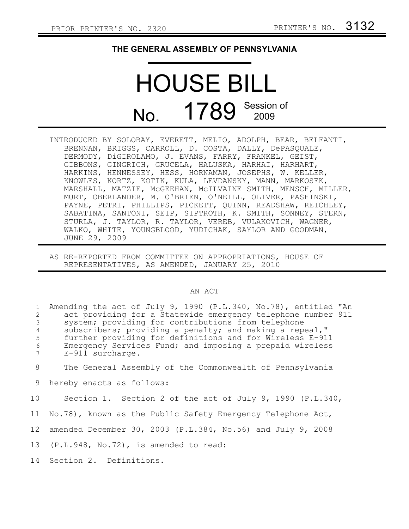## **THE GENERAL ASSEMBLY OF PENNSYLVANIA**

## HOUSE BILL No. 1789 Session of 2009

- INTRODUCED BY SOLOBAY, EVERETT, MELIO, ADOLPH, BEAR, BELFANTI, BRENNAN, BRIGGS, CARROLL, D. COSTA, DALLY, DePASQUALE, DERMODY, DiGIROLAMO, J. EVANS, FARRY, FRANKEL, GEIST, GIBBONS, GINGRICH, GRUCELA, HALUSKA, HARHAI, HARHART, HARKINS, HENNESSEY, HESS, HORNAMAN, JOSEPHS, W. KELLER, KNOWLES, KORTZ, KOTIK, KULA, LEVDANSKY, MANN, MARKOSEK, MARSHALL, MATZIE, McGEEHAN, McILVAINE SMITH, MENSCH, MILLER, MURT, OBERLANDER, M. O'BRIEN, O'NEILL, OLIVER, PASHINSKI, PAYNE, PETRI, PHILLIPS, PICKETT, QUINN, READSHAW, REICHLEY, SABATINA, SANTONI, SEIP, SIPTROTH, K. SMITH, SONNEY, STERN, STURLA, J. TAYLOR, R. TAYLOR, VEREB, VULAKOVICH, WAGNER, WALKO, WHITE, YOUNGBLOOD, YUDICHAK, SAYLOR AND GOODMAN, JUNE 29, 2009
- AS RE-REPORTED FROM COMMITTEE ON APPROPRIATIONS, HOUSE OF REPRESENTATIVES, AS AMENDED, JANUARY 25, 2010

## AN ACT

| $\mathbf{1}$   | Amending the act of July 9, 1990 (P.L.340, No.78), entitled "An |
|----------------|-----------------------------------------------------------------|
| 2              | act providing for a Statewide emergency telephone number 911    |
| $\mathcal{S}$  | system; providing for contributions from telephone              |
| $\overline{4}$ | subscribers; providing a penalty; and making a repeal,"         |
| 5              | further providing for definitions and for Wireless E-911        |
| $6\,$          | Emergency Services Fund; and imposing a prepaid wireless        |
| $7^{\circ}$    | E-911 surcharge.                                                |
| 8              | The General Assembly of the Commonwealth of Pennsylvania        |
| 9              | hereby enacts as follows:                                       |
| 10             | Section 1. Section 2 of the act of July 9, 1990 (P.L.340,       |
|                | 11 No.78), known as the Public Safety Emergency Telephone Act,  |
| 12             | amended December 30, 2003 (P.L.384, No.56) and July 9, 2008     |
|                | 13 (P.L.948, No.72), is amended to read:                        |
|                | 14 Section 2. Definitions.                                      |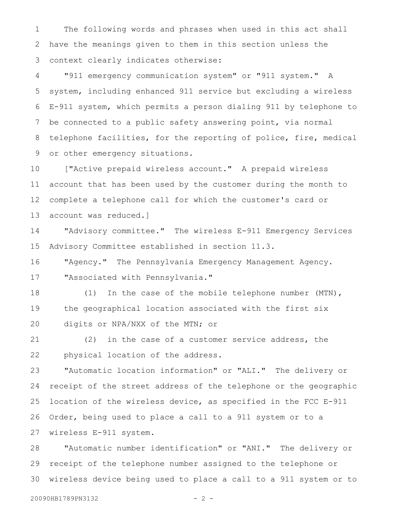The following words and phrases when used in this act shall have the meanings given to them in this section unless the context clearly indicates otherwise: 1 2 3

"911 emergency communication system" or "911 system." A system, including enhanced 911 service but excluding a wireless E-911 system, which permits a person dialing 911 by telephone to be connected to a public safety answering point, via normal telephone facilities, for the reporting of police, fire, medical or other emergency situations. 4 5 6 7 8 9

["Active prepaid wireless account." A prepaid wireless account that has been used by the customer during the month to complete a telephone call for which the customer's card or account was reduced.] 10 11 12 13

"Advisory committee." The wireless E-911 Emergency Services Advisory Committee established in section 11.3. 14 15

"Agency." The Pennsylvania Emergency Management Agency. "Associated with Pennsylvania." 16 17

(1) In the case of the mobile telephone number (MTN), the geographical location associated with the first six digits or NPA/NXX of the MTN; or 18 19 20

(2) in the case of a customer service address, the physical location of the address. 21 22

"Automatic location information" or "ALI." The delivery or receipt of the street address of the telephone or the geographic location of the wireless device, as specified in the FCC E-911 Order, being used to place a call to a 911 system or to a wireless E-911 system. 23 24 25 26 27

"Automatic number identification" or "ANI." The delivery or receipt of the telephone number assigned to the telephone or wireless device being used to place a call to a 911 system or to 28 29 30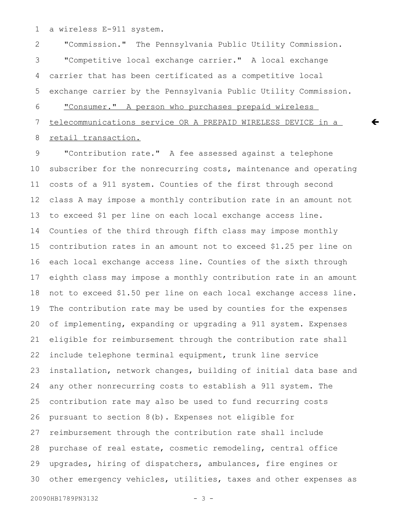a wireless E-911 system. 1

"Commission." The Pennsylvania Public Utility Commission. "Competitive local exchange carrier." A local exchange carrier that has been certificated as a competitive local exchange carrier by the Pennsylvania Public Utility Commission. "Consumer." A person who purchases prepaid wireless telecommunications service OR A PREPAID WIRELESS DEVICE in a retail transaction. 2 3 4 5 6 7 8

 $\leftarrow$ 

"Contribution rate." A fee assessed against a telephone subscriber for the nonrecurring costs, maintenance and operating costs of a 911 system. Counties of the first through second class A may impose a monthly contribution rate in an amount not to exceed \$1 per line on each local exchange access line. Counties of the third through fifth class may impose monthly contribution rates in an amount not to exceed \$1.25 per line on each local exchange access line. Counties of the sixth through eighth class may impose a monthly contribution rate in an amount not to exceed \$1.50 per line on each local exchange access line. The contribution rate may be used by counties for the expenses of implementing, expanding or upgrading a 911 system. Expenses eligible for reimbursement through the contribution rate shall include telephone terminal equipment, trunk line service installation, network changes, building of initial data base and any other nonrecurring costs to establish a 911 system. The contribution rate may also be used to fund recurring costs pursuant to section 8(b). Expenses not eligible for reimbursement through the contribution rate shall include purchase of real estate, cosmetic remodeling, central office upgrades, hiring of dispatchers, ambulances, fire engines or other emergency vehicles, utilities, taxes and other expenses as 9 10 11 12 13 14 15 16 17 18 19 20 21 22 23 24 25 26 27 28 29 30

```
20090HB1789PN3132 - 3 -
```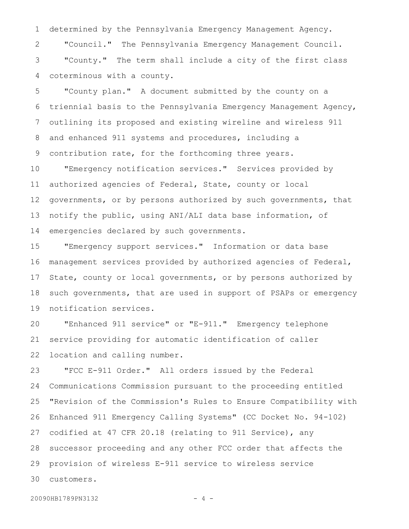determined by the Pennsylvania Emergency Management Agency. "Council." The Pennsylvania Emergency Management Council. "County." The term shall include a city of the first class coterminous with a county. 1 2 3 4

"County plan." A document submitted by the county on a triennial basis to the Pennsylvania Emergency Management Agency, outlining its proposed and existing wireline and wireless 911 and enhanced 911 systems and procedures, including a contribution rate, for the forthcoming three years. 5 6 7 8 9

"Emergency notification services." Services provided by authorized agencies of Federal, State, county or local governments, or by persons authorized by such governments, that notify the public, using ANI/ALI data base information, of emergencies declared by such governments. 10 11 12 13 14

"Emergency support services." Information or data base management services provided by authorized agencies of Federal, State, county or local governments, or by persons authorized by such governments, that are used in support of PSAPs or emergency notification services. 15 16 17 18 19

"Enhanced 911 service" or "E-911." Emergency telephone service providing for automatic identification of caller location and calling number. 20 21 22

"FCC E-911 Order." All orders issued by the Federal Communications Commission pursuant to the proceeding entitled "Revision of the Commission's Rules to Ensure Compatibility with Enhanced 911 Emergency Calling Systems" (CC Docket No. 94-102) codified at 47 CFR 20.18 (relating to 911 Service), any successor proceeding and any other FCC order that affects the provision of wireless E-911 service to wireless service customers. 23 24 25 26 27 28 29 30

20090HB1789PN3132 - 4 -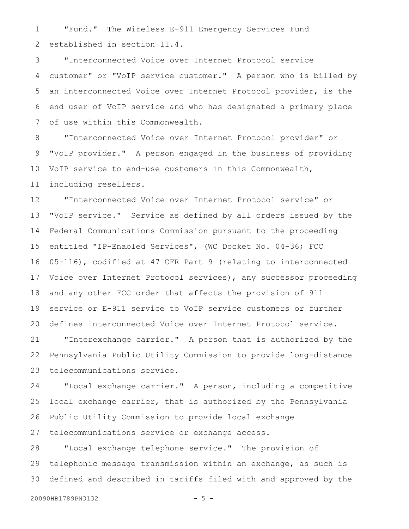"Fund." The Wireless E-911 Emergency Services Fund established in section 11.4. 1 2

"Interconnected Voice over Internet Protocol service customer" or "VoIP service customer." A person who is billed by an interconnected Voice over Internet Protocol provider, is the end user of VoIP service and who has designated a primary place of use within this Commonwealth. 3 4 5 6 7

"Interconnected Voice over Internet Protocol provider" or "VoIP provider." A person engaged in the business of providing VoIP service to end-use customers in this Commonwealth, including resellers. 8 9 10 11

"Interconnected Voice over Internet Protocol service" or "VoIP service." Service as defined by all orders issued by the Federal Communications Commission pursuant to the proceeding entitled "IP-Enabled Services", (WC Docket No. 04-36; FCC 05-116), codified at 47 CFR Part 9 (relating to interconnected Voice over Internet Protocol services), any successor proceeding and any other FCC order that affects the provision of 911 service or E-911 service to VoIP service customers or further defines interconnected Voice over Internet Protocol service. 12 13 14 15 16 17 18 19 20

"Interexchange carrier." A person that is authorized by the Pennsylvania Public Utility Commission to provide long-distance telecommunications service. 21 22 23

"Local exchange carrier." A person, including a competitive local exchange carrier, that is authorized by the Pennsylvania Public Utility Commission to provide local exchange telecommunications service or exchange access. 24 25 26 27

"Local exchange telephone service." The provision of telephonic message transmission within an exchange, as such is defined and described in tariffs filed with and approved by the 28 29 30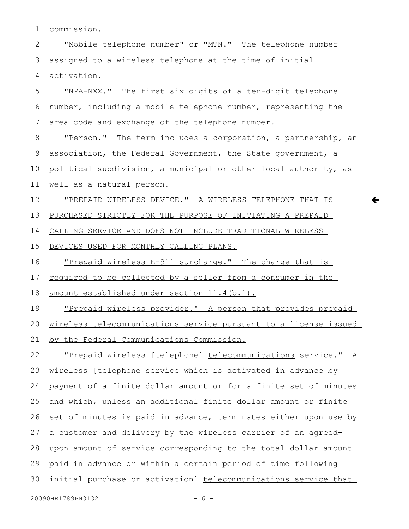commission. 1

"Mobile telephone number" or "MTN." The telephone number assigned to a wireless telephone at the time of initial activation. 2 3 4

"NPA-NXX." The first six digits of a ten-digit telephone number, including a mobile telephone number, representing the area code and exchange of the telephone number. 5 6 7

"Person." The term includes a corporation, a partnership, an association, the Federal Government, the State government, a political subdivision, a municipal or other local authority, as well as a natural person. 8 9 10 11

 $\leftarrow$ 

"PREPAID WIRELESS DEVICE." A WIRELESS TELEPHONE THAT IS PURCHASED STRICTLY FOR THE PURPOSE OF INITIATING A PREPAID CALLING SERVICE AND DOES NOT INCLUDE TRADITIONAL WIRELESS DEVICES USED FOR MONTHLY CALLING PLANS. 12 13 14 15

"Prepaid wireless E-911 surcharge." The charge that is required to be collected by a seller from a consumer in the amount established under section 11.4(b.1). 16 17 18

"Prepaid wireless provider." A person that provides prepaid wireless telecommunications service pursuant to a license issued by the Federal Communications Commission. 19 20 21

"Prepaid wireless [telephone] telecommunications service." A wireless [telephone service which is activated in advance by payment of a finite dollar amount or for a finite set of minutes and which, unless an additional finite dollar amount or finite set of minutes is paid in advance, terminates either upon use by a customer and delivery by the wireless carrier of an agreedupon amount of service corresponding to the total dollar amount paid in advance or within a certain period of time following initial purchase or activation] telecommunications service that 22 23 24 25 26 27 28 29 30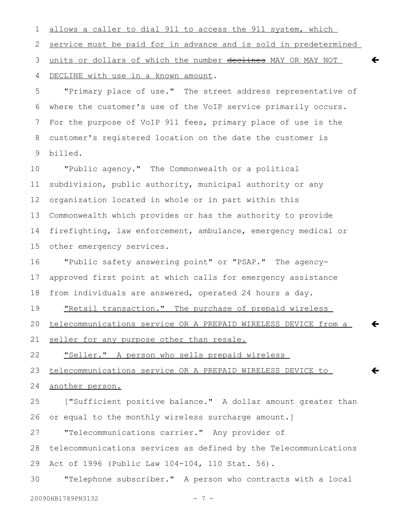allows a caller to dial 911 to access the 911 system, which service must be paid for in advance and is sold in predetermined units or dollars of which the number declines MAY OR MAY NOT DECLINE with use in a known amount. 1 2 3 4

 $\leftarrow$ 

 $\leftarrow$ 

 $\leftarrow$ 

"Primary place of use." The street address representative of where the customer's use of the VoIP service primarily occurs. For the purpose of VoIP 911 fees, primary place of use is the customer's registered location on the date the customer is billed. 5 6 7 8 9

"Public agency." The Commonwealth or a political subdivision, public authority, municipal authority or any organization located in whole or in part within this Commonwealth which provides or has the authority to provide firefighting, law enforcement, ambulance, emergency medical or other emergency services. 10 11 12 13 14 15

"Public safety answering point" or "PSAP." The agencyapproved first point at which calls for emergency assistance from individuals are answered, operated 24 hours a day. 16 17 18

"Retail transaction." The purchase of prepaid wireless 19

 telecommunications service OR A PREPAID WIRELESS DEVICE from a 20

seller for any purpose other than resale. 21

"Seller." A person who sells prepaid wireless 22

 telecommunications service OR A PREPAID WIRELESS DEVICE to 23

## another person. 24

["Sufficient positive balance." A dollar amount greater than or equal to the monthly wireless surcharge amount.] 25 26

"Telecommunications carrier." Any provider of 27

telecommunications services as defined by the Telecommunications Act of 1996 (Public Law 104-104, 110 Stat. 56). 28 29

"Telephone subscriber." A person who contracts with a local 30

```
20090HB1789PN3132 - 7 -
```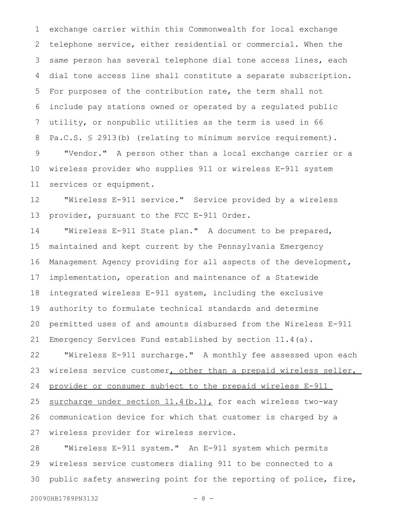exchange carrier within this Commonwealth for local exchange telephone service, either residential or commercial. When the same person has several telephone dial tone access lines, each dial tone access line shall constitute a separate subscription. For purposes of the contribution rate, the term shall not include pay stations owned or operated by a regulated public utility, or nonpublic utilities as the term is used in 66 Pa.C.S. § 2913(b) (relating to minimum service requirement). "Vendor." A person other than a local exchange carrier or a wireless provider who supplies 911 or wireless E-911 system services or equipment. 1 2 3 4 5 6 7 8 9 10 11

"Wireless E-911 service." Service provided by a wireless provider, pursuant to the FCC E-911 Order. 12 13

"Wireless E-911 State plan." A document to be prepared, maintained and kept current by the Pennsylvania Emergency Management Agency providing for all aspects of the development, implementation, operation and maintenance of a Statewide integrated wireless E-911 system, including the exclusive authority to formulate technical standards and determine permitted uses of and amounts disbursed from the Wireless E-911 Emergency Services Fund established by section 11.4(a). 14 15 16 17 18 19 20 21

"Wireless E-911 surcharge." A monthly fee assessed upon each wireless service customer, other than a prepaid wireless seller, provider or consumer subject to the prepaid wireless E-911 surcharge under section 11.4(b.1), for each wireless two-way communication device for which that customer is charged by a wireless provider for wireless service. 22 23 24 25 26 27

"Wireless E-911 system." An E-911 system which permits wireless service customers dialing 911 to be connected to a public safety answering point for the reporting of police, fire, 28 29 30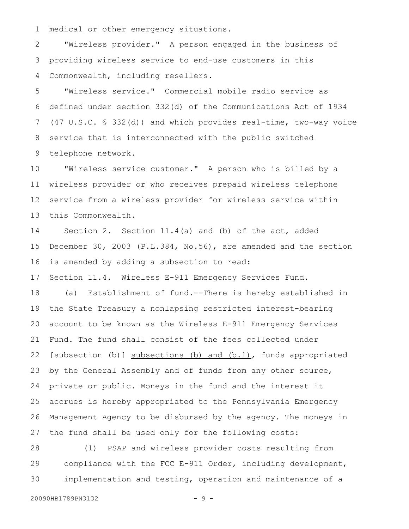medical or other emergency situations. 1

"Wireless provider." A person engaged in the business of providing wireless service to end-use customers in this Commonwealth, including resellers. 2 3 4

"Wireless service." Commercial mobile radio service as defined under section 332(d) of the Communications Act of 1934 (47 U.S.C. § 332(d)) and which provides real-time, two-way voice service that is interconnected with the public switched telephone network. 5 6 7 8 9

"Wireless service customer." A person who is billed by a wireless provider or who receives prepaid wireless telephone service from a wireless provider for wireless service within this Commonwealth. 10 11 12 13

Section 2. Section 11.4(a) and (b) of the act, added December 30, 2003 (P.L.384, No.56), are amended and the section is amended by adding a subsection to read: 14 15 16

Section 11.4. Wireless E-911 Emergency Services Fund. 17

(a) Establishment of fund.--There is hereby established in the State Treasury a nonlapsing restricted interest-bearing account to be known as the Wireless E-911 Emergency Services Fund. The fund shall consist of the fees collected under [subsection (b)] subsections (b) and (b.1), funds appropriated by the General Assembly and of funds from any other source, private or public. Moneys in the fund and the interest it accrues is hereby appropriated to the Pennsylvania Emergency Management Agency to be disbursed by the agency. The moneys in the fund shall be used only for the following costs: 18 19 20 21 22 23 24 25 26 27

(1) PSAP and wireless provider costs resulting from compliance with the FCC E-911 Order, including development, implementation and testing, operation and maintenance of a 28 29 30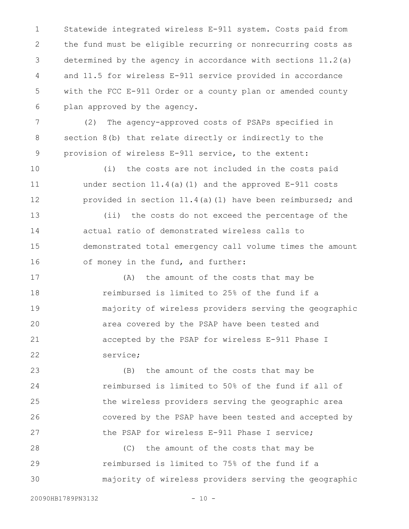Statewide integrated wireless E-911 system. Costs paid from the fund must be eligible recurring or nonrecurring costs as determined by the agency in accordance with sections 11.2(a) and 11.5 for wireless E-911 service provided in accordance with the FCC E-911 Order or a county plan or amended county plan approved by the agency. 1 2 3 4 5 6

(2) The agency-approved costs of PSAPs specified in section 8(b) that relate directly or indirectly to the provision of wireless E-911 service, to the extent: 7 8 9

(i) the costs are not included in the costs paid under section 11.4(a)(1) and the approved E-911 costs provided in section 11.4(a)(1) have been reimbursed; and 10 11 12

(ii) the costs do not exceed the percentage of the actual ratio of demonstrated wireless calls to demonstrated total emergency call volume times the amount of money in the fund, and further: 13 14 15 16

(A) the amount of the costs that may be reimbursed is limited to 25% of the fund if a majority of wireless providers serving the geographic area covered by the PSAP have been tested and accepted by the PSAP for wireless E-911 Phase I service; 17 18 19 20 21 22

(B) the amount of the costs that may be reimbursed is limited to 50% of the fund if all of the wireless providers serving the geographic area covered by the PSAP have been tested and accepted by the PSAP for wireless E-911 Phase I service; 23 24 25 26 27

(C) the amount of the costs that may be reimbursed is limited to 75% of the fund if a majority of wireless providers serving the geographic 28 29 30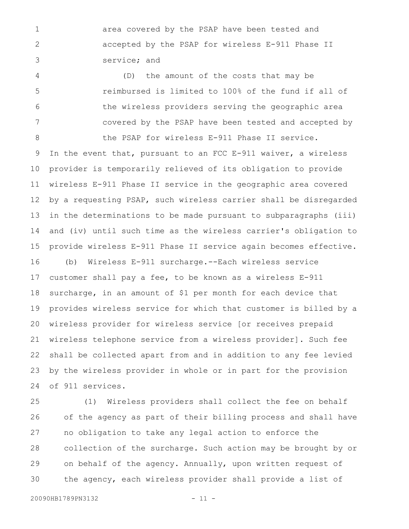area covered by the PSAP have been tested and accepted by the PSAP for wireless E-911 Phase II service; and 1 2 3

(D) the amount of the costs that may be reimbursed is limited to 100% of the fund if all of the wireless providers serving the geographic area covered by the PSAP have been tested and accepted by 4 5 6 7

the PSAP for wireless E-911 Phase II service. In the event that, pursuant to an FCC E-911 waiver, a wireless provider is temporarily relieved of its obligation to provide wireless E-911 Phase II service in the geographic area covered by a requesting PSAP, such wireless carrier shall be disregarded in the determinations to be made pursuant to subparagraphs (iii) and (iv) until such time as the wireless carrier's obligation to provide wireless E-911 Phase II service again becomes effective. (b) Wireless E-911 surcharge.--Each wireless service customer shall pay a fee, to be known as a wireless E-911 surcharge, in an amount of \$1 per month for each device that provides wireless service for which that customer is billed by a wireless provider for wireless service [or receives prepaid wireless telephone service from a wireless provider]. Such fee shall be collected apart from and in addition to any fee levied 9 10 11 12 13 14 15 16 17 18 19 20 21 22

by the wireless provider in whole or in part for the provision of 911 services. 23 24

(1) Wireless providers shall collect the fee on behalf of the agency as part of their billing process and shall have no obligation to take any legal action to enforce the collection of the surcharge. Such action may be brought by or on behalf of the agency. Annually, upon written request of the agency, each wireless provider shall provide a list of 25 26 27 28 29 30

8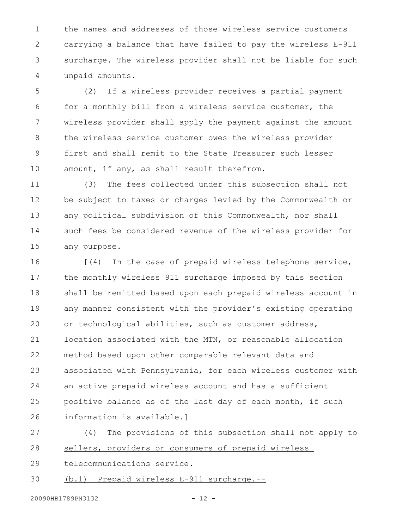the names and addresses of those wireless service customers carrying a balance that have failed to pay the wireless E-911 surcharge. The wireless provider shall not be liable for such unpaid amounts. 1 2 3 4

(2) If a wireless provider receives a partial payment for a monthly bill from a wireless service customer, the wireless provider shall apply the payment against the amount the wireless service customer owes the wireless provider first and shall remit to the State Treasurer such lesser amount, if any, as shall result therefrom. 5 6 7 8 9 10

(3) The fees collected under this subsection shall not be subject to taxes or charges levied by the Commonwealth or any political subdivision of this Commonwealth, nor shall such fees be considered revenue of the wireless provider for any purpose. 11 12 13 14 15

[(4) In the case of prepaid wireless telephone service, the monthly wireless 911 surcharge imposed by this section shall be remitted based upon each prepaid wireless account in any manner consistent with the provider's existing operating or technological abilities, such as customer address, location associated with the MTN, or reasonable allocation method based upon other comparable relevant data and associated with Pennsylvania, for each wireless customer with an active prepaid wireless account and has a sufficient positive balance as of the last day of each month, if such information is available.] 16 17 18 19 20 21 22 23 24 25 26

(4) The provisions of this subsection shall not apply to sellers, providers or consumers of prepaid wireless 27 28

telecommunications service. 29

(b.1) Prepaid wireless E-911 surcharge.-- 30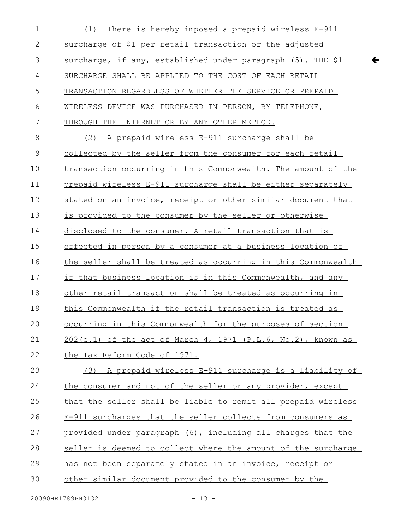| $\mathbf 1$  | There is hereby imposed a prepaid wireless E-911<br>(1)        |
|--------------|----------------------------------------------------------------|
| $\mathbf{2}$ | surcharge of \$1 per retail transaction or the adjusted        |
| 3            | surcharge, if any, established under paragraph (5). THE \$1    |
| 4            | SURCHARGE SHALL BE APPLIED TO THE COST OF EACH RETAIL          |
| 5            | TRANSACTION REGARDLESS OF WHETHER THE SERVICE OR PREPAID       |
| 6            | WIRELESS DEVICE WAS PURCHASED IN PERSON, BY TELEPHONE,         |
| 7            | THROUGH THE INTERNET OR BY ANY OTHER METHOD.                   |
| 8            | (2) A prepaid wireless E-911 surcharge shall be                |
| $\mathsf 9$  | collected by the seller from the consumer for each retail      |
| 10           | transaction occurring in this Commonwealth. The amount of the  |
| 11           | prepaid wireless E-911 surcharge shall be either separately    |
| 12           | stated on an invoice, receipt or other similar document that   |
| 13           | is provided to the consumer by the seller or otherwise         |
| 14           | disclosed to the consumer. A retail transaction that is        |
| 15           | effected in person by a consumer at a business location of     |
| 16           | the seller shall be treated as occurring in this Commonwealth  |
| 17           | if that business location is in this Commonwealth, and any     |
| 18           | other retail transaction shall be treated as occurring in      |
| 19           | this Commonwealth if the retail transaction is treated as      |
| 20           | occurring in this Commonwealth for the purposes of section     |
| 21           | $202(e.1)$ of the act of March 4, 1971 (P.L.6, No.2), known as |
| 22           | the Tax Reform Code of 1971.                                   |
| 23           | (3) A prepaid wireless E-911 surcharge is a liability of       |
| 24           | the consumer and not of the seller or any provider, except     |
| 25           | that the seller shall be liable to remit all prepaid wireless  |
| 26           | E-911 surcharges that the seller collects from consumers as    |
| 27           | provided under paragraph (6), including all charges that the   |
| 28           | seller is deemed to collect where the amount of the surcharge  |
| 29           | has not been separately stated in an invoice, receipt or       |
| 30           | other similar document provided to the consumer by the         |
|              |                                                                |

 $\leftarrow$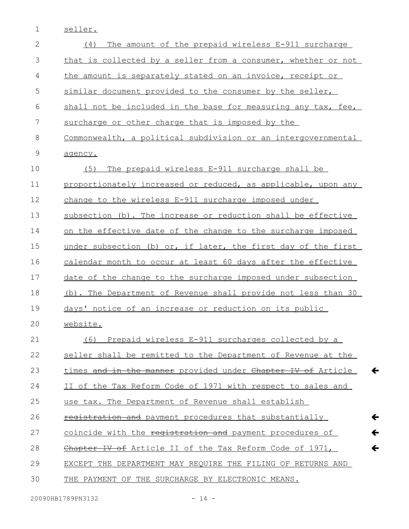seller. 1

| $\overline{2}$ | The amount of the prepaid wireless E-911 surcharge<br>(4)                    |
|----------------|------------------------------------------------------------------------------|
| 3              | that is collected by a seller from a consumer, whether or not                |
| 4              | the amount is separately stated on an invoice, receipt or                    |
| 5              | similar document provided to the consumer by the seller,                     |
| 6              | shall not be included in the base for measuring any tax, fee,                |
| 7              | surcharge or other charge that is imposed by the                             |
| 8              | Commonwealth, a political subdivision or an intergovernmental                |
| 9              | agency.                                                                      |
| 10             | (5)<br>The prepaid wireless E-911 surcharge shall be                         |
| 11             | proportionately increased or reduced, as applicable, upon any                |
| 12             | change to the wireless E-911 surcharge imposed under                         |
| 13             | subsection (b). The increase or reduction shall be effective                 |
| 14             | on the effective date of the change to the surcharge imposed                 |
| 15             | under subsection (b) or, if later, the first day of the first                |
| 16             | calendar month to occur at least 60 days after the effective                 |
| 17             | date of the change to the surcharge imposed under subsection                 |
| 18             | (b). The Department of Revenue shall provide not less than 30                |
| 19             | days' notice of an increase or reduction on its public                       |
| 20             | website.                                                                     |
| 21             | (6)<br>Prepaid wireless E-911 surcharges collected by a                      |
| 22             | seller shall be remitted to the Department of Revenue at the                 |
| 23             | $\leftarrow$<br>times and in the manner provided under Chapter IV of Article |
| 24             | II of the Tax Reform Code of 1971 with respect to sales and                  |
| 25             | use tax. The Department of Revenue shall establish                           |
| 26             | $\leftarrow$<br>registration and payment procedures that substantially       |
| 27             | $\leftarrow$<br>coincide with the registration and payment procedures of     |
| 28             | $\leftarrow$<br>Chapter IV of Article II of the Tax Reform Code of 1971,     |
| 29             | EXCEPT THE DEPARTMENT MAY REQUIRE THE FILING OF RETURNS AND                  |
| 30             | THE PAYMENT OF THE SURCHARGE BY ELECTRONIC MEANS.                            |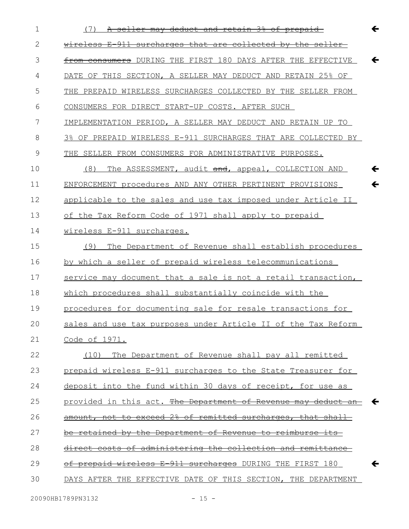| $\mathbf 1$ | $\leftarrow$<br>(7)<br>A seller may deduct and retain 3% of prepaid          |
|-------------|------------------------------------------------------------------------------|
| 2           | wireless E-911 surcharges that are collected by the seller                   |
| 3           | from consumers DURING THE FIRST 180 DAYS AFTER THE EFFECTIVE<br>$\leftarrow$ |
| 4           | DATE OF THIS SECTION, A SELLER MAY DEDUCT AND RETAIN 25% OF                  |
| 5           | THE PREPAID WIRELESS SURCHARGES COLLECTED BY THE SELLER FROM                 |
| 6           | CONSUMERS FOR DIRECT START-UP COSTS. AFTER SUCH                              |
| 7           | IMPLEMENTATION PERIOD, A SELLER MAY DEDUCT AND RETAIN UP TO                  |
| 8           | 3% OF PREPAID WIRELESS E-911 SURCHARGES THAT ARE COLLECTED BY                |
| 9           | SELLER FROM CONSUMERS FOR ADMINISTRATIVE PURPOSES.<br>THE                    |
| 10          | $\leftarrow$<br>(8)<br>The ASSESSMENT, audit and, appeal, COLLECTION AND     |
| 11          | ENFORCEMENT procedures AND ANY OTHER PERTINENT PROVISIONS<br>$\leftarrow$    |
| 12          | applicable to the sales and use tax imposed under Article II                 |
| 13          | of the Tax Reform Code of 1971 shall apply to prepaid                        |
| 14          | wireless E-911 surcharges.                                                   |
| 15          | The Department of Revenue shall establish procedures<br>(9)                  |
| 16          | by which a seller of prepaid wireless telecommunications                     |
| 17          | service may document that a sale is not a retail transaction,                |
| 18          | which procedures shall substantially coincide with the                       |
| 19          | procedures for documenting sale for resale transactions for                  |
| 20          | sales and use tax purposes under Article II of the Tax Reform                |
| 21          | Code of 1971.                                                                |
| 22          | The Department of Revenue shall pay all remitted<br>(10)                     |
| 23          | prepaid wireless E-911 surcharges to the State Treasurer for                 |
| 24          | deposit into the fund within 30 days of receipt, for use as                  |
| 25          | provided in this act. The Department of Revenue may deduct an $\leftarrow$   |
| 26          | amount, not to exceed 2% of remitted surcharges, that shall                  |
| 27          | be retained by the Department of Revenue to reimburse its                    |
| 28          | direct costs of administering the collection and remittance                  |
| 29          | of prepaid wireless E-911 surcharges DURING THE FIRST 180<br>$\leftarrow$    |
| 30          | DAYS AFTER THE EFFECTIVE DATE OF THIS SECTION, THE DEPARTMENT                |